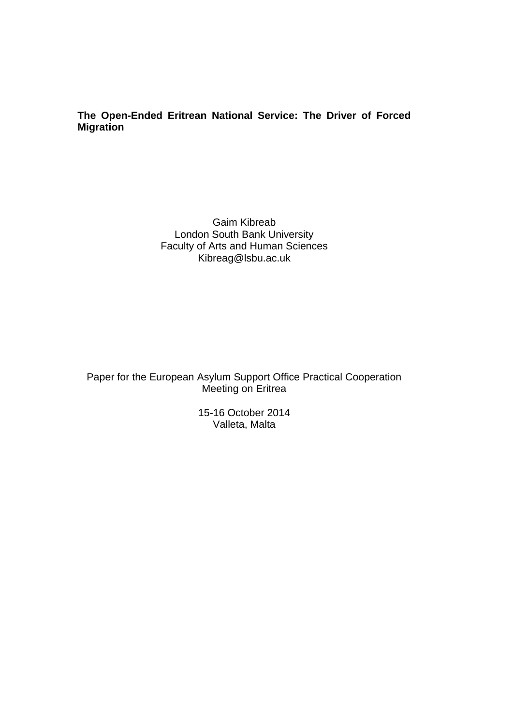# **The Open-Ended Eritrean National Service: The Driver of Forced Migration**

Gaim Kibreab London South Bank University Faculty of Arts and Human Sciences Kibreag@lsbu.ac.uk

Paper for the European Asylum Support Office Practical Cooperation Meeting on Eritrea

> 15-16 October 2014 Valleta, Malta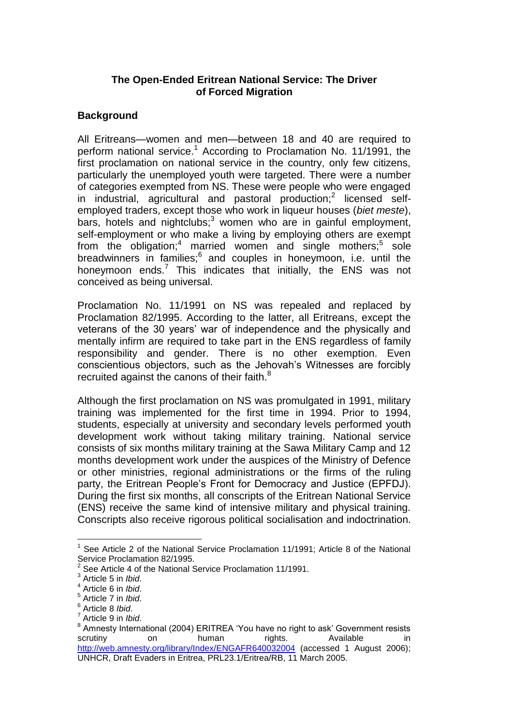# **The Open-Ended Eritrean National Service: The Driver of Forced Migration**

## **Background**

All Eritreans—women and men—between 18 and 40 are required to perform national service.<sup>1</sup> According to Proclamation No. 11/1991, the first proclamation on national service in the country, only few citizens, particularly the unemployed youth were targeted. There were a number of categories exempted from NS. These were people who were engaged in industrial, agricultural and pastoral production;<sup>2</sup> licensed selfemployed traders, except those who work in liqueur houses (*biet meste*), bars, hotels and nightclubs;<sup>3</sup> women who are in gainful employment, self-employment or who make a living by employing others are exempt from the obligation;<sup>4</sup> married women and single mothers;<sup>5</sup> sole breadwinners in families;<sup>6</sup> and couples in honeymoon, i.e. until the honeymoon ends.<sup>7</sup> This indicates that initially, the ENS was not conceived as being universal.

Proclamation No. 11/1991 on NS was repealed and replaced by Proclamation 82/1995. According to the latter, all Eritreans, except the veterans of the 30 years' war of independence and the physically and mentally infirm are required to take part in the ENS regardless of family responsibility and gender. There is no other exemption. Even conscientious objectors, such as the Jehovah's Witnesses are forcibly recruited against the canons of their faith.<sup>8</sup>

Although the first proclamation on NS was promulgated in 1991, military training was implemented for the first time in 1994. Prior to 1994, students, especially at university and secondary levels performed youth development work without taking military training. National service consists of six months military training at the Sawa Military Camp and 12 months development work under the auspices of the Ministry of Defence or other ministries, regional administrations or the firms of the ruling party, the Eritrean People's Front for Democracy and Justice (EPFDJ). During the first six months, all conscripts of the Eritrean National Service (ENS) receive the same kind of intensive military and physical training. Conscripts also receive rigorous political socialisation and indoctrination.

<sup>&</sup>lt;sup>1</sup> See Article 2 of the National Service Proclamation 11/1991; Article 8 of the National Service Proclamation 82/1995.

<sup>2</sup> See Article 4 of the National Service Proclamation 11/1991.

<sup>3</sup> Article 5 in *Ibid*.

<sup>4</sup> Article 6 in *Ibid*.

<sup>5</sup> Article 7 in *Ibid*.

<sup>6</sup> Article 8 *Ibid*.

<sup>7</sup> Article 9 in *Ibid*.

<sup>&</sup>lt;sup>8</sup> Amnesty International (2004) ERITREA 'You have no right to ask' Government resists scrutiny on human rights. Available in <http://web.amnesty.org/library/Index/ENGAFR640032004> (accessed 1 August 2006); UNHCR, Draft Evaders in Eritrea, PRL23.1/Eritrea/RB, 11 March 2005.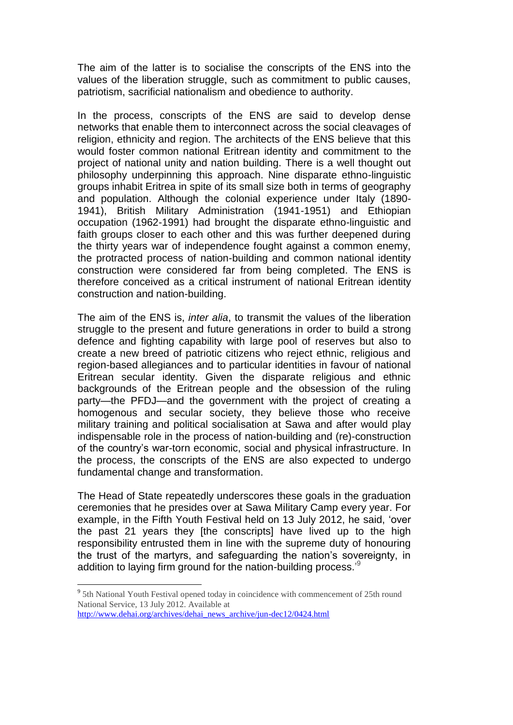The aim of the latter is to socialise the conscripts of the ENS into the values of the liberation struggle, such as commitment to public causes, patriotism, sacrificial nationalism and obedience to authority.

In the process, conscripts of the ENS are said to develop dense networks that enable them to interconnect across the social cleavages of religion, ethnicity and region. The architects of the ENS believe that this would foster common national Eritrean identity and commitment to the project of national unity and nation building. There is a well thought out philosophy underpinning this approach. Nine disparate ethno-linguistic groups inhabit Eritrea in spite of its small size both in terms of geography and population. Although the colonial experience under Italy (1890- 1941), British Military Administration (1941-1951) and Ethiopian occupation (1962-1991) had brought the disparate ethno-linguistic and faith groups closer to each other and this was further deepened during the thirty years war of independence fought against a common enemy, the protracted process of nation-building and common national identity construction were considered far from being completed. The ENS is therefore conceived as a critical instrument of national Eritrean identity construction and nation-building.

The aim of the ENS is, *inter alia*, to transmit the values of the liberation struggle to the present and future generations in order to build a strong defence and fighting capability with large pool of reserves but also to create a new breed of patriotic citizens who reject ethnic, religious and region-based allegiances and to particular identities in favour of national Eritrean secular identity. Given the disparate religious and ethnic backgrounds of the Eritrean people and the obsession of the ruling party—the PFDJ—and the government with the project of creating a homogenous and secular society, they believe those who receive military training and political socialisation at Sawa and after would play indispensable role in the process of nation-building and (re)-construction of the country's war-torn economic, social and physical infrastructure. In the process, the conscripts of the ENS are also expected to undergo fundamental change and transformation.

The Head of State repeatedly underscores these goals in the graduation ceremonies that he presides over at Sawa Military Camp every year. For example, in the Fifth Youth Festival held on 13 July 2012, he said, 'over the past 21 years they [the conscripts] have lived up to the high responsibility entrusted them in line with the supreme duty of honouring the trust of the martyrs, and safeguarding the nation's sovereignty, in addition to laying firm ground for the nation-building process.<sup>39</sup>

<sup>&</sup>lt;sup>9</sup> 5th National Youth Festival opened today in coincidence with commencement of 25th round National Service, 13 July 2012. Available at

[http://www.dehai.org/archives/dehai\\_news\\_archive/jun-dec12/0424.html](http://www.dehai.org/archives/dehai_news_archive/jun-dec12/0424.html)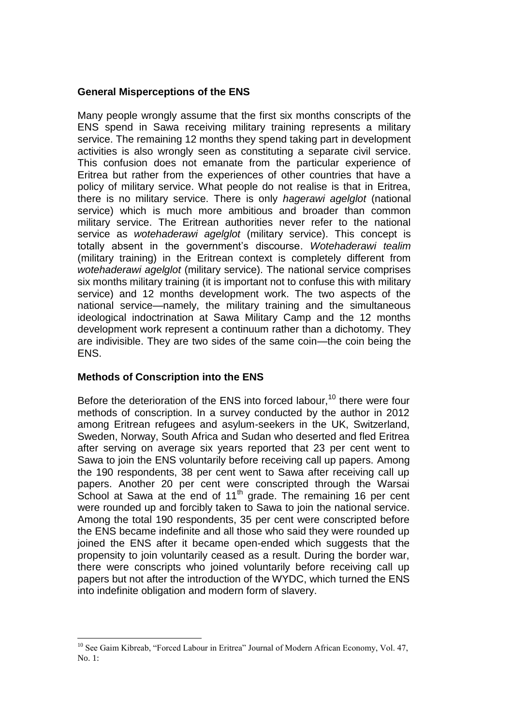### **General Misperceptions of the ENS**

Many people wrongly assume that the first six months conscripts of the ENS spend in Sawa receiving military training represents a military service. The remaining 12 months they spend taking part in development activities is also wrongly seen as constituting a separate civil service. This confusion does not emanate from the particular experience of Eritrea but rather from the experiences of other countries that have a policy of military service. What people do not realise is that in Eritrea, there is no military service. There is only *hagerawi agelglot* (national service) which is much more ambitious and broader than common military service. The Eritrean authorities never refer to the national service as *wotehaderawi agelglot* (military service). This concept is totally absent in the government's discourse. *Wotehaderawi tealim* (military training) in the Eritrean context is completely different from *wotehaderawi agelglot* (military service). The national service comprises six months military training (it is important not to confuse this with military service) and 12 months development work. The two aspects of the national service—namely, the military training and the simultaneous ideological indoctrination at Sawa Military Camp and the 12 months development work represent a continuum rather than a dichotomy. They are indivisible. They are two sides of the same coin—the coin being the ENS.

# **Methods of Conscription into the ENS**

Before the deterioration of the ENS into forced labour,  $10$  there were four methods of conscription. In a survey conducted by the author in 2012 among Eritrean refugees and asylum-seekers in the UK, Switzerland, Sweden, Norway, South Africa and Sudan who deserted and fled Eritrea after serving on average six years reported that 23 per cent went to Sawa to join the ENS voluntarily before receiving call up papers. Among the 190 respondents, 38 per cent went to Sawa after receiving call up papers. Another 20 per cent were conscripted through the Warsai  $\overline{\text{School}}$  at Sawa at the end of 11<sup>th</sup> grade. The remaining 16 per cent were rounded up and forcibly taken to Sawa to join the national service. Among the total 190 respondents, 35 per cent were conscripted before the ENS became indefinite and all those who said they were rounded up joined the ENS after it became open-ended which suggests that the propensity to join voluntarily ceased as a result. During the border war, there were conscripts who joined voluntarily before receiving call up papers but not after the introduction of the WYDC, which turned the ENS into indefinite obligation and modern form of slavery.

<sup>1</sup> <sup>10</sup> See Gaim Kibreab, "Forced Labour in Eritrea" Journal of Modern African Economy, Vol. 47, No. 1: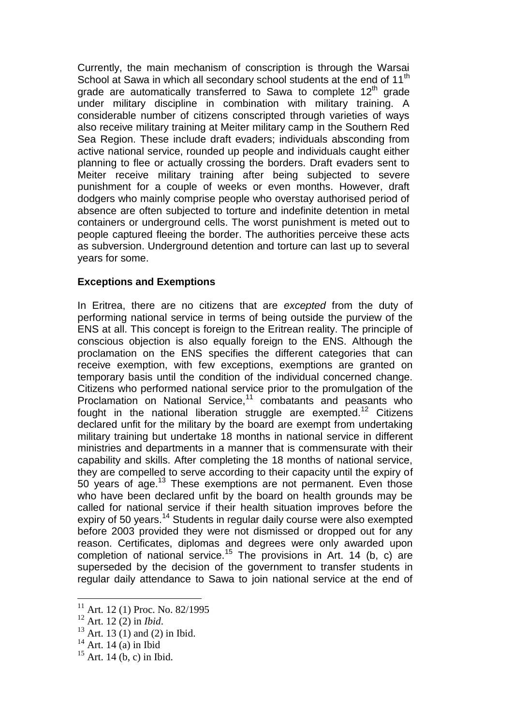Currently, the main mechanism of conscription is through the Warsai School at Sawa in which all secondary school students at the end of 11<sup>th</sup> grade are automatically transferred to Sawa to complete  $12<sup>th</sup>$  grade under military discipline in combination with military training. A considerable number of citizens conscripted through varieties of ways also receive military training at Meiter military camp in the Southern Red Sea Region. These include draft evaders; individuals absconding from active national service, rounded up people and individuals caught either planning to flee or actually crossing the borders. Draft evaders sent to Meiter receive military training after being subjected to severe punishment for a couple of weeks or even months. However, draft dodgers who mainly comprise people who overstay authorised period of absence are often subjected to torture and indefinite detention in metal containers or underground cells. The worst punishment is meted out to people captured fleeing the border. The authorities perceive these acts as subversion. Underground detention and torture can last up to several years for some.

### **Exceptions and Exemptions**

In Eritrea, there are no citizens that are *excepted* from the duty of performing national service in terms of being outside the purview of the ENS at all. This concept is foreign to the Eritrean reality. The principle of conscious objection is also equally foreign to the ENS. Although the proclamation on the ENS specifies the different categories that can receive exemption, with few exceptions, exemptions are granted on temporary basis until the condition of the individual concerned change. Citizens who performed national service prior to the promulgation of the Proclamation on National Service,<sup>11</sup> combatants and peasants who fought in the national liberation struggle are exempted.<sup>12</sup> Citizens declared unfit for the military by the board are exempt from undertaking military training but undertake 18 months in national service in different ministries and departments in a manner that is commensurate with their capability and skills. After completing the 18 months of national service, they are compelled to serve according to their capacity until the expiry of 50 years of age.<sup>13</sup> These exemptions are not permanent. Even those who have been declared unfit by the board on health grounds may be called for national service if their health situation improves before the expiry of 50 years.<sup>14</sup> Students in regular daily course were also exempted before 2003 provided they were not dismissed or dropped out for any reason. Certificates, diplomas and degrees were only awarded upon completion of national service.<sup>15</sup> The provisions in Art. 14 (b, c) are superseded by the decision of the government to transfer students in regular daily attendance to Sawa to join national service at the end of

 $11$  Art. 12 (1) Proc. No. 82/1995

<sup>12</sup> Art. 12 (2) in *Ibid*.

 $13$  Art. 13 (1) and (2) in Ibid.

 $14$  Art. 14 (a) in Ibid

 $15$  Art. 14 (b, c) in Ibid.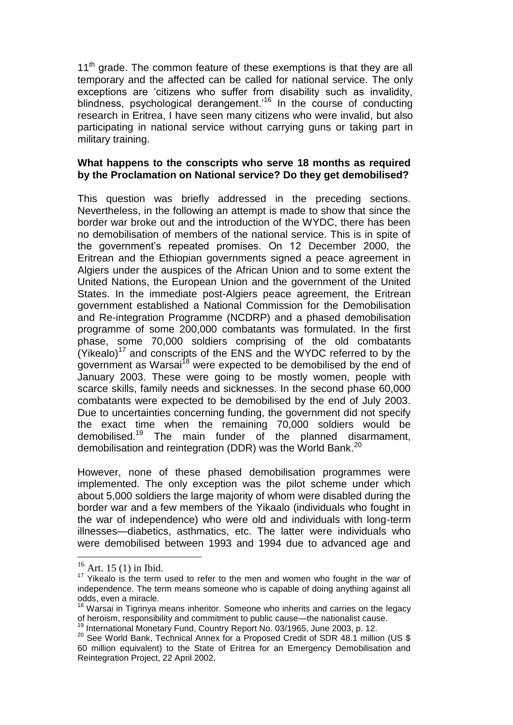$11<sup>th</sup>$  grade. The common feature of these exemptions is that they are all temporary and the affected can be called for national service. The only exceptions are 'citizens who suffer from disability such as invalidity, blindness, psychological derangement.<sup>16</sup> In the course of conducting research in Eritrea, I have seen many citizens who were invalid, but also participating in national service without carrying guns or taking part in military training.

#### **What happens to the conscripts who serve 18 months as required by the Proclamation on National service? Do they get demobilised?**

This question was briefly addressed in the preceding sections. Nevertheless, in the following an attempt is made to show that since the border war broke out and the introduction of the WYDC, there has been no demobilisation of members of the national service. This is in spite of the government's repeated promises. On 12 December 2000, the Eritrean and the Ethiopian governments signed a peace agreement in Algiers under the auspices of the African Union and to some extent the United Nations, the European Union and the government of the United States. In the immediate post-Algiers peace agreement, the Eritrean government established a National Commission for the Demobilisation and Re-integration Programme (NCDRP) and a phased demobilisation programme of some 200,000 combatants was formulated. In the first phase, some 70,000 soldiers comprising of the old combatants  $(Yi\text{kealo})^{17}$  and conscripts of the ENS and the WYDC referred to by the government as Warsai<sup>18</sup> were expected to be demobilised by the end of January 2003. These were going to be mostly women, people with scarce skills, family needs and sicknesses. In the second phase 60,000 combatants were expected to be demobilised by the end of July 2003. Due to uncertainties concerning funding, the government did not specify the exact time when the remaining 70,000 soldiers would be demobilised.<sup>19</sup> The main funder of the planned disarmament, demobilisation and reintegration (DDR) was the World Bank.<sup>20</sup>

However, none of these phased demobilisation programmes were implemented. The only exception was the pilot scheme under which about 5,000 soldiers the large majority of whom were disabled during the border war and a few members of the Yikaalo (individuals who fought in the war of independence) who were old and individuals with long-term illnesses—diabetics, asthmatics, etc. The latter were individuals who were demobilised between 1993 and 1994 due to advanced age and

 $16$  Art. 15 (1) in Ibid.

 $17$  Yikealo is the term used to refer to the men and women who fought in the war of independence. The term means someone who is capable of doing anything against all odds, even a miracle.

 $18$  Warsai in Tigrinya means inheritor. Someone who inherits and carries on the legacy of heroism, responsibility and commitment to public cause—the nationalist cause.

International Monetary Fund, Country Report No. 03/1965, June 2003, p. 12.

<sup>&</sup>lt;sup>20</sup> See World Bank, Technical Annex for a Proposed Credit of SDR 48.1 million (US \$ 60 million equivalent) to the State of Eritrea for an Emergency Demobilisation and Reintegration Project, 22 April 2002.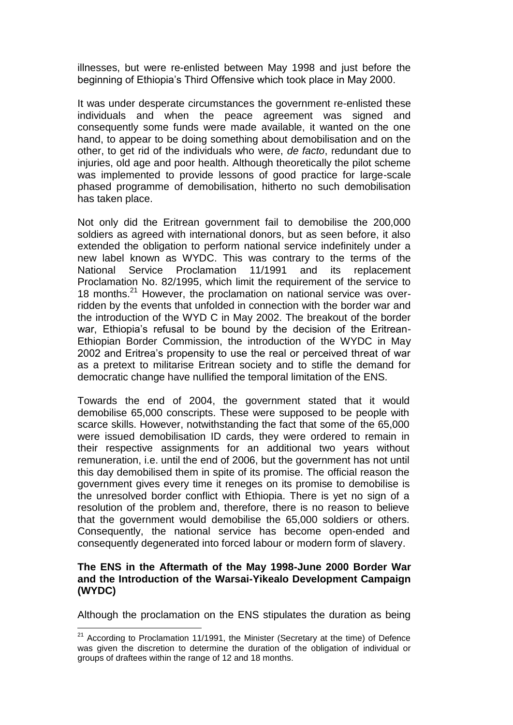illnesses, but were re-enlisted between May 1998 and just before the beginning of Ethiopia's Third Offensive which took place in May 2000.

It was under desperate circumstances the government re-enlisted these individuals and when the peace agreement was signed and consequently some funds were made available, it wanted on the one hand, to appear to be doing something about demobilisation and on the other, to get rid of the individuals who were, *de facto*, redundant due to injuries, old age and poor health. Although theoretically the pilot scheme was implemented to provide lessons of good practice for large-scale phased programme of demobilisation, hitherto no such demobilisation has taken place.

Not only did the Eritrean government fail to demobilise the 200,000 soldiers as agreed with international donors, but as seen before, it also extended the obligation to perform national service indefinitely under a new label known as WYDC. This was contrary to the terms of the National Service Proclamation 11/1991 and its replacement Proclamation No. 82/1995, which limit the requirement of the service to 18 months.<sup>21</sup> However, the proclamation on national service was overridden by the events that unfolded in connection with the border war and the introduction of the WYD C in May 2002. The breakout of the border war, Ethiopia's refusal to be bound by the decision of the Eritrean-Ethiopian Border Commission, the introduction of the WYDC in May 2002 and Eritrea's propensity to use the real or perceived threat of war as a pretext to militarise Eritrean society and to stifle the demand for democratic change have nullified the temporal limitation of the ENS.

Towards the end of 2004, the government stated that it would demobilise 65,000 conscripts. These were supposed to be people with scarce skills. However, notwithstanding the fact that some of the 65,000 were issued demobilisation ID cards, they were ordered to remain in their respective assignments for an additional two years without remuneration, i.e. until the end of 2006, but the government has not until this day demobilised them in spite of its promise. The official reason the government gives every time it reneges on its promise to demobilise is the unresolved border conflict with Ethiopia. There is yet no sign of a resolution of the problem and, therefore, there is no reason to believe that the government would demobilise the 65,000 soldiers or others. Consequently, the national service has become open-ended and consequently degenerated into forced labour or modern form of slavery.

### **The ENS in the Aftermath of the May 1998-June 2000 Border War and the Introduction of the Warsai-Yikealo Development Campaign (WYDC)**

Although the proclamation on the ENS stipulates the duration as being

 $21$  According to Proclamation 11/1991, the Minister (Secretary at the time) of Defence was given the discretion to determine the duration of the obligation of individual or groups of draftees within the range of 12 and 18 months.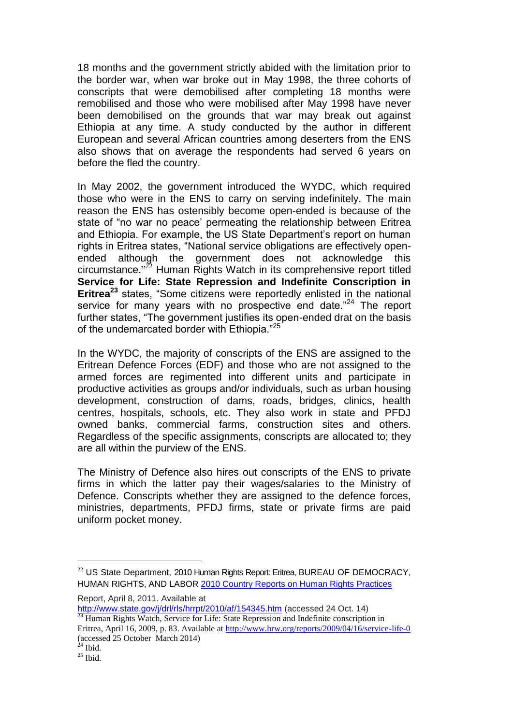18 months and the government strictly abided with the limitation prior to the border war, when war broke out in May 1998, the three cohorts of conscripts that were demobilised after completing 18 months were remobilised and those who were mobilised after May 1998 have never been demobilised on the grounds that war may break out against Ethiopia at any time. A study conducted by the author in different European and several African countries among deserters from the ENS also shows that on average the respondents had served 6 years on before the fled the country.

In May 2002, the government introduced the WYDC, which required those who were in the ENS to carry on serving indefinitely. The main reason the ENS has ostensibly become open-ended is because of the state of "no war no peace' permeating the relationship between Eritrea and Ethiopia. For example, the US State Department's report on human rights in Eritrea states, "National service obligations are effectively openended although the government does not acknowledge this circumstance." <sup>22</sup> Human Rights Watch in its comprehensive report titled **Service for Life: State Repression and Indefinite Conscription in Eritrea<sup>23</sup>** states, "Some citizens were reportedly enlisted in the national service for many years with no prospective end date."<sup>24</sup> The report further states. "The government justifies its open-ended drat on the basis of the undemarcated border with Ethiopia."<sup>25</sup>

In the WYDC, the majority of conscripts of the ENS are assigned to the Eritrean Defence Forces (EDF) and those who are not assigned to the armed forces are regimented into different units and participate in productive activities as groups and/or individuals, such as urban housing development, construction of dams, roads, bridges, clinics, health centres, hospitals, schools, etc. They also work in state and PFDJ owned banks, commercial farms, construction sites and others. Regardless of the specific assignments, conscripts are allocated to; they are all within the purview of the ENS.

The Ministry of Defence also hires out conscripts of the ENS to private firms in which the latter pay their wages/salaries to the Ministry of Defence. Conscripts whether they are assigned to the defence forces, ministries, departments, PFDJ firms, state or private firms are paid uniform pocket money.

Report, April 8, 2011. Available at

<http://www.state.gov/j/drl/rls/hrrpt/2010/af/154345.htm> (accessed 24 Oct. 14)  $\frac{23}{23}$  Human Rights Watch, Service for Life: State Repression and Indefinite conscription in

<sup>&</sup>lt;sup>22</sup> US State Department, 2010 Human Rights Report: Eritrea, BUREAU OF DEMOCRACY, HUMAN RIGHTS, AND LABOR [2010 Country Reports on Human Rights Practices](http://www.state.gov/j/drl/rls/hrrpt/2010/index.htm)

Eritrea, April 16, 2009, p. 83. Available at<http://www.hrw.org/reports/2009/04/16/service-life-0> (accessed 25 October March 2014)

 $24$  Ibid.

 $25$  Ibid.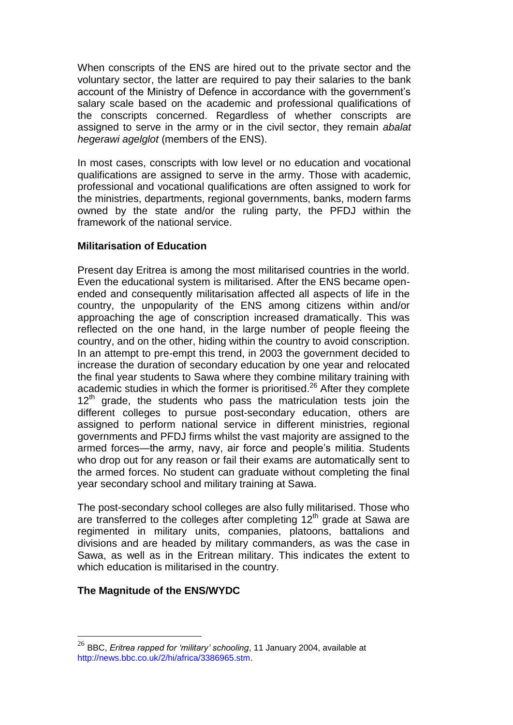When conscripts of the ENS are hired out to the private sector and the voluntary sector, the latter are required to pay their salaries to the bank account of the Ministry of Defence in accordance with the government's salary scale based on the academic and professional qualifications of the conscripts concerned. Regardless of whether conscripts are assigned to serve in the army or in the civil sector, they remain *abalat hegerawi agelglot* (members of the ENS).

In most cases, conscripts with low level or no education and vocational qualifications are assigned to serve in the army. Those with academic, professional and vocational qualifications are often assigned to work for the ministries, departments, regional governments, banks, modern farms owned by the state and/or the ruling party, the PFDJ within the framework of the national service.

### **Militarisation of Education**

Present day Eritrea is among the most militarised countries in the world. Even the educational system is militarised. After the ENS became openended and consequently militarisation affected all aspects of life in the country, the unpopularity of the ENS among citizens within and/or approaching the age of conscription increased dramatically. This was reflected on the one hand, in the large number of people fleeing the country, and on the other, hiding within the country to avoid conscription. In an attempt to pre-empt this trend, in 2003 the government decided to increase the duration of secondary education by one year and relocated the final year students to Sawa where they combine military training with academic studies in which the former is prioritised.<sup>26</sup> After they complete  $12<sup>th</sup>$  grade, the students who pass the matriculation tests join the different colleges to pursue post-secondary education, others are assigned to perform national service in different ministries, regional governments and PFDJ firms whilst the vast majority are assigned to the armed forces—the army, navy, air force and people's militia. Students who drop out for any reason or fail their exams are automatically sent to the armed forces. No student can graduate without completing the final year secondary school and military training at Sawa.

The post-secondary school colleges are also fully militarised. Those who are transferred to the colleges after completing  $12<sup>th</sup>$  grade at Sawa are regimented in military units, companies, platoons, battalions and divisions and are headed by military commanders, as was the case in Sawa, as well as in the Eritrean military. This indicates the extent to which education is militarised in the country.

### **The Magnitude of the ENS/WYDC**

<sup>26</sup> BBC, *Eritrea rapped for 'military' schooling*, 11 January 2004, available at http://news.bbc.co.uk/2/hi/africa/3386965.stm.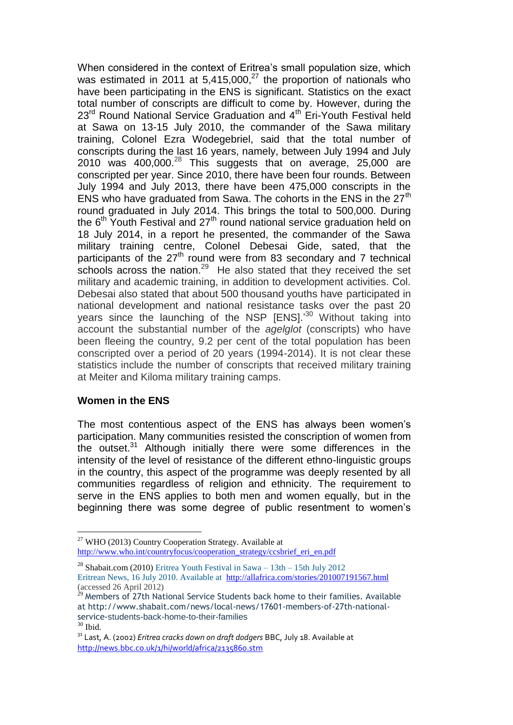When considered in the context of Eritrea's small population size, which was estimated in 2011 at  $5,415,000$ ,<sup>27</sup> the proportion of nationals who have been participating in the ENS is significant. Statistics on the exact total number of conscripts are difficult to come by. However, during the 23<sup>rd</sup> Round National Service Graduation and 4<sup>th</sup> Eri-Youth Festival held at Sawa on 13-15 July 2010, the commander of the Sawa military training, Colonel Ezra Wodegebriel, said that the total number of conscripts during the last 16 years, namely, between July 1994 and July 2010 was  $400,000$ .<sup>28</sup> This suggests that on average, 25,000 are conscripted per year. Since 2010, there have been four rounds. Between July 1994 and July 2013, there have been 475,000 conscripts in the ENS who have graduated from Sawa. The cohorts in the ENS in the  $27<sup>th</sup>$ round graduated in July 2014. This brings the total to 500,000. During the  $6<sup>th</sup>$  Youth Festival and 27<sup>th</sup> round national service graduation held on 18 July 2014, in a report he presented, the commander of the Sawa military training centre, Colonel Debesai Gide, sated, that the participants of the  $27<sup>th</sup>$  round were from 83 secondary and 7 technical schools across the nation.<sup>29</sup> He also stated that they received the set military and academic training, in addition to development activities. Col. Debesai also stated that about 500 thousand youths have participated in national development and national resistance tasks over the past 20 years since the launching of the NSP [ENS].<sup>30</sup> Without taking into account the substantial number of the *agelglot* (conscripts) who have been fleeing the country, 9.2 per cent of the total population has been conscripted over a period of 20 years (1994-2014). It is not clear these statistics include the number of conscripts that received military training at Meiter and Kiloma military training camps.

### **Women in the ENS**

<u>.</u>

The most contentious aspect of the ENS has always been women's participation. Many communities resisted the conscription of women from the outset.<sup>31</sup> Although initially there were some differences in the intensity of the level of resistance of the different ethno-linguistic groups in the country, this aspect of the programme was deeply resented by all communities regardless of religion and ethnicity. The requirement to serve in the ENS applies to both men and women equally, but in the beginning there was some degree of public resentment to women's

<sup>&</sup>lt;sup>27</sup> WHO (2013) Country Cooperation Strategy. Available at [http://www.who.int/countryfocus/cooperation\\_strategy/ccsbrief\\_eri\\_en.pdf](http://www.who.int/countryfocus/cooperation_strategy/ccsbrief_eri_en.pdf)

<sup>&</sup>lt;sup>28</sup> Shabait.com (2010) [Eritrea Youth Festival in Sawa –](http://www.eritreacompass.com/eritrean-news/73-youth/674-eritrea-youth-festival-in-sawa-13th-15th-july-2012.html) 13th – 15th July 2012 Eritrean [News, 16 July 2010. Available at http://allafrica.com/stories/201007191567.html](http://www.eritreacompass.com/eritrean-news.html) (accessed 26 April 2012)

 $^{29}$  Members of 27th National Service Students back home to their families. Available at http://www.shabait.com/news/local-news/17601-members-of-27th-nationalservice-students-back-home-to-their-families <sup>30</sup> Ibid.

<sup>31</sup> Last, A. (2002) *Eritrea cracks down on draft dodgers* BBC, July 18. Available at <http://news.bbc.co.uk/1/hi/world/africa/2135860.stm>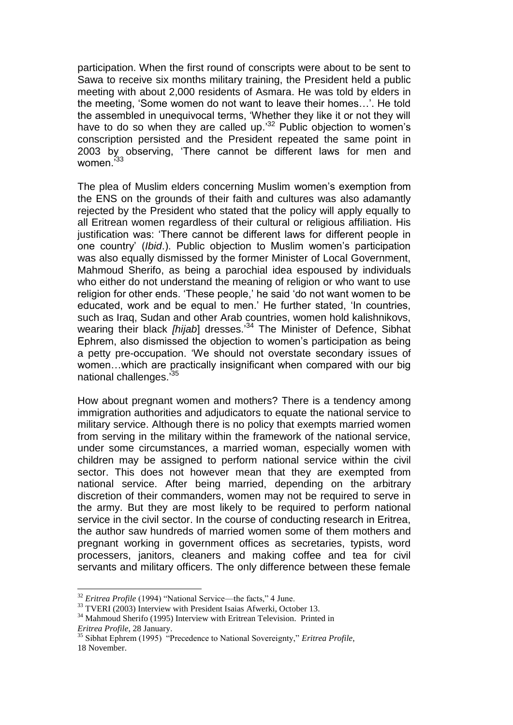participation. When the first round of conscripts were about to be sent to Sawa to receive six months military training, the President held a public meeting with about 2,000 residents of Asmara. He was told by elders in the meeting, 'Some women do not want to leave their homes…'. He told the assembled in unequivocal terms, 'Whether they like it or not they will have to do so when they are called up.<sup>32</sup> Public objection to women's conscription persisted and the President repeated the same point in 2003 by observing, 'There cannot be different laws for men and women.<sup>33</sup>

The plea of Muslim elders concerning Muslim women's exemption from the ENS on the grounds of their faith and cultures was also adamantly rejected by the President who stated that the policy will apply equally to all Eritrean women regardless of their cultural or religious affiliation. His justification was: 'There cannot be different laws for different people in one country' (*Ibid*.). Public objection to Muslim women's participation was also equally dismissed by the former Minister of Local Government, Mahmoud Sherifo, as being a parochial idea espoused by individuals who either do not understand the meaning of religion or who want to use religion for other ends. 'These people,' he said 'do not want women to be educated, work and be equal to men.' He further stated, 'In countries, such as Iraq, Sudan and other Arab countries, women hold kalishnikovs, wearing their black *[hijab*] dresses.' <sup>34</sup> The Minister of Defence, Sibhat Ephrem, also dismissed the objection to women's participation as being a petty pre-occupation. 'We should not overstate secondary issues of women…which are practically insignificant when compared with our big national challenges.<sup>35</sup>

How about pregnant women and mothers? There is a tendency among immigration authorities and adjudicators to equate the national service to military service. Although there is no policy that exempts married women from serving in the military within the framework of the national service, under some circumstances, a married woman, especially women with children may be assigned to perform national service within the civil sector. This does not however mean that they are exempted from national service. After being married, depending on the arbitrary discretion of their commanders, women may not be required to serve in the army. But they are most likely to be required to perform national service in the civil sector. In the course of conducting research in Eritrea, the author saw hundreds of married women some of them mothers and pregnant working in government offices as secretaries, typists, word processers, janitors, cleaners and making coffee and tea for civil servants and military officers. The only difference between these female

<sup>32</sup> *Eritrea Profile* (1994) "National Service—the facts," 4 June.

<sup>&</sup>lt;sup>33</sup> TVERI (2003) Interview with President Isaias Afwerki, October 13.

<sup>&</sup>lt;sup>34</sup> Mahmoud Sherifo (1995) Interview with Eritrean Television. Printed in *Eritrea Profile*, 28 January.

<sup>&</sup>lt;sup>35</sup> Sibhat Ephrem (1995) <sup>"</sup>Precedence to National Sovereignty," *Eritrea Profile*, 18 November.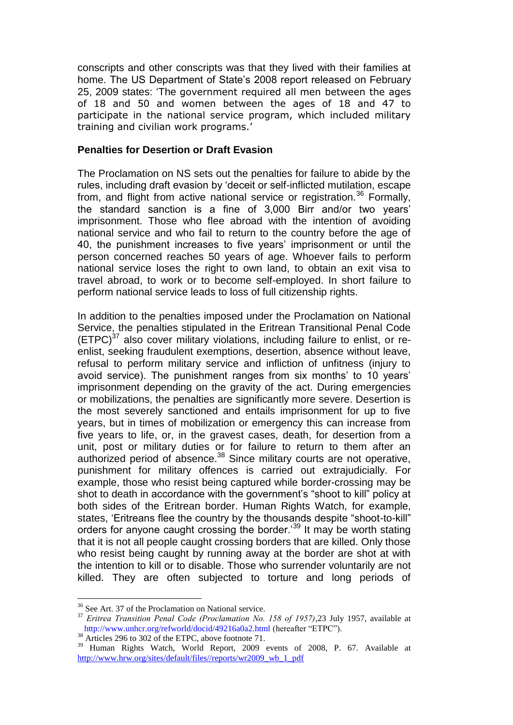conscripts and other conscripts was that they lived with their families at home. The US Department of State's 2008 report released on February 25, 2009 states: 'The government required all men between the ages of 18 and 50 and women between the ages of 18 and 47 to participate in the national service program, which included military training and civilian work programs.'

#### **Penalties for Desertion or Draft Evasion**

The Proclamation on NS sets out the penalties for failure to abide by the rules, including draft evasion by 'deceit or self-inflicted mutilation, escape from, and flight from active national service or registration.<sup>36</sup> Formally, the standard sanction is a fine of 3,000 Birr and/or two years' imprisonment. Those who flee abroad with the intention of avoiding national service and who fail to return to the country before the age of 40, the punishment increases to five years' imprisonment or until the person concerned reaches 50 years of age. Whoever fails to perform national service loses the right to own land, to obtain an exit visa to travel abroad, to work or to become self-employed. In short failure to perform national service leads to loss of full citizenship rights.

In addition to the penalties imposed under the Proclamation on National Service, the penalties stipulated in the Eritrean Transitional Penal Code  $(ETPC)^{37}$  also cover military violations, including failure to enlist, or reenlist, seeking fraudulent exemptions, desertion, absence without leave, refusal to perform military service and infliction of unfitness (injury to avoid service). The punishment ranges from six months' to 10 years' imprisonment depending on the gravity of the act. During emergencies or mobilizations, the penalties are significantly more severe. Desertion is the most severely sanctioned and entails imprisonment for up to five years, but in times of mobilization or emergency this can increase from five years to life, or, in the gravest cases, death, for desertion from a unit, post or military duties or for failure to return to them after an authorized period of absence.<sup>38</sup> Since military courts are not operative, punishment for military offences is carried out extrajudicially. For example, those who resist being captured while border-crossing may be shot to death in accordance with the government's "shoot to kill" policy at both sides of the Eritrean border. Human Rights Watch, for example, states, 'Eritreans flee the country by the thousands despite "shoot-to-kill" orders for anyone caught crossing the border.'<sup>39</sup> It may be worth stating that it is not all people caught crossing borders that are killed. Only those who resist being caught by running away at the border are shot at with the intention to kill or to disable. Those who surrender voluntarily are not killed. They are often subjected to torture and long periods of

<sup>&</sup>lt;sup>36</sup> See Art. 37 of the Proclamation on National service.

<sup>37</sup> *Eritrea Transition Penal Code (Proclamation No. 158 of 1957)*,23 July 1957, available at http://www.unhcr.org/refworld/docid/49216a0a2.html (hereafter "ETPC").

 $38$  Articles 296 to 302 of the ETPC, above footnote 71.

<sup>&</sup>lt;sup>39</sup> Human Rights Watch, World Report, 2009 events of 2008, P. 67. Available at [http://www.hrw.org/sites/default/files//reports/wr2009\\_wb\\_1\\_pdf](http://www.hrw.org/sites/default/files/reports/wr2009_wb_1_pdf)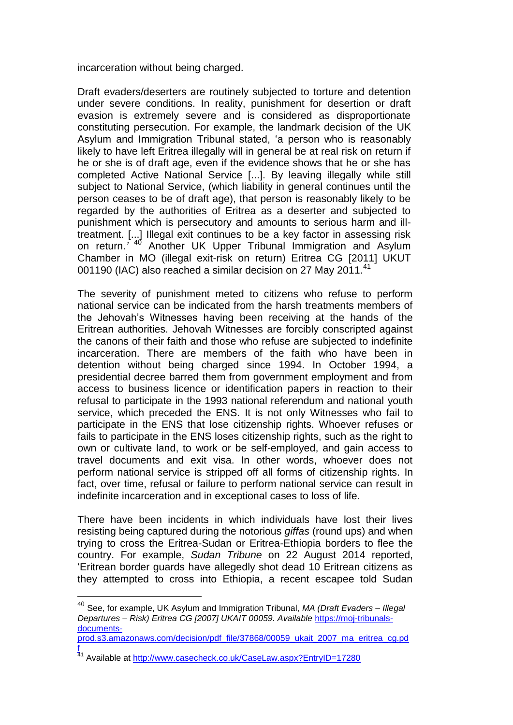incarceration without being charged.

Draft evaders/deserters are routinely subjected to torture and detention under severe conditions. In reality, punishment for desertion or draft evasion is extremely severe and is considered as disproportionate constituting persecution. For example, the landmark decision of the UK Asylum and Immigration Tribunal stated, 'a person who is reasonably likely to have left Eritrea illegally will in general be at real risk on return if he or she is of draft age, even if the evidence shows that he or she has completed Active National Service [...]. By leaving illegally while still subject to National Service, (which liability in general continues until the person ceases to be of draft age), that person is reasonably likely to be regarded by the authorities of Eritrea as a deserter and subjected to punishment which is persecutory and amounts to serious harm and illtreatment. [...] Illegal exit continues to be a key factor in assessing risk on return.*'* <sup>40</sup> Another UK Upper Tribunal Immigration and Asylum Chamber in MO (illegal exit-risk on return) Eritrea CG [2011] UKUT 001190 (IAC) also reached a similar decision on 27 May 2011.<sup>41</sup>

The severity of punishment meted to citizens who refuse to perform national service can be indicated from the harsh treatments members of the Jehovah's Witnesses having been receiving at the hands of the Eritrean authorities. Jehovah Witnesses are forcibly conscripted against the canons of their faith and those who refuse are subjected to indefinite incarceration. There are members of the faith who have been in detention without being charged since 1994. In October 1994, a presidential decree barred them from government employment and from access to business licence or identification papers in reaction to their refusal to participate in the 1993 national referendum and national youth service, which preceded the ENS. It is not only Witnesses who fail to participate in the ENS that lose citizenship rights. Whoever refuses or fails to participate in the ENS loses citizenship rights, such as the right to own or cultivate land, to work or be self-employed, and gain access to travel documents and exit visa. In other words, whoever does not perform national service is stripped off all forms of citizenship rights. In fact, over time, refusal or failure to perform national service can result in indefinite incarceration and in exceptional cases to loss of life.

There have been incidents in which individuals have lost their lives resisting being captured during the notorious *giffas* (round ups) and when trying to cross the Eritrea-Sudan or Eritrea-Ethiopia borders to flee the country. For example, *Sudan Tribune* on 22 August 2014 reported, 'Eritrean border guards have allegedly shot dead 10 Eritrean citizens as they attempted to cross into Ethiopia, a recent escapee told Sudan

<sup>40</sup> See, for example, UK Asylum and Immigration Tribunal, *MA (Draft Evaders – Illegal Departures – Risk) Eritrea CG [2007] UKAIT 00059. Available* [https://moj-tribunals](https://moj-tribunals-documents-prod.s3.amazonaws.com/decision/pdf_file/37868/00059_ukait_2007_ma_eritrea_cg.pdf)[documents-](https://moj-tribunals-documents-prod.s3.amazonaws.com/decision/pdf_file/37868/00059_ukait_2007_ma_eritrea_cg.pdf)

[prod.s3.amazonaws.com/decision/pdf\\_file/37868/00059\\_ukait\\_2007\\_ma\\_eritrea\\_cg.pd](https://moj-tribunals-documents-prod.s3.amazonaws.com/decision/pdf_file/37868/00059_ukait_2007_ma_eritrea_cg.pdf) [f](https://moj-tribunals-documents-prod.s3.amazonaws.com/decision/pdf_file/37868/00059_ukait_2007_ma_eritrea_cg.pdf) 

<sup>&</sup>lt;sup>41</sup> Available at <u>http://www.casecheck.co.uk/CaseLaw.aspx?EntryID=17280</u>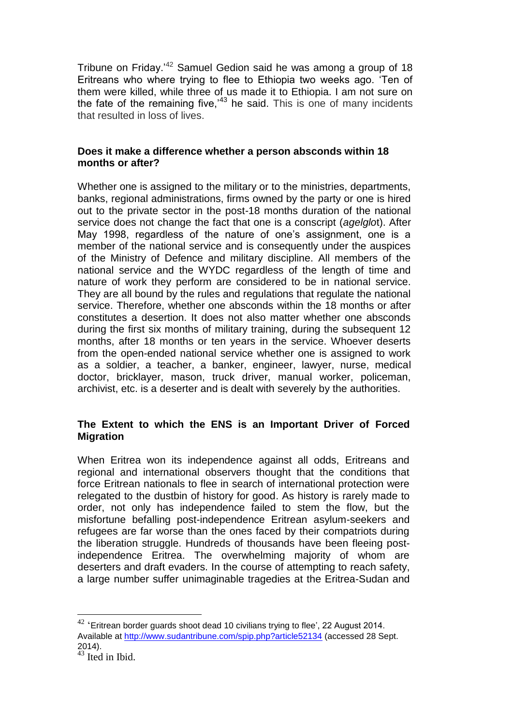Tribune on Friday.'<sup>42</sup> Samuel Gedion said he was among a group of 18 Eritreans who where trying to flee to Ethiopia two weeks ago. 'Ten of them were killed, while three of us made it to Ethiopia. I am not sure on the fate of the remaining five, $143$  he said. This is one of many incidents that resulted in loss of lives.

### **Does it make a difference whether a person absconds within 18 months or after?**

Whether one is assigned to the military or to the ministries, departments, banks, regional administrations, firms owned by the party or one is hired out to the private sector in the post-18 months duration of the national service does not change the fact that one is a conscript (*agelglo*t). After May 1998, regardless of the nature of one's assignment, one is a member of the national service and is consequently under the auspices of the Ministry of Defence and military discipline. All members of the national service and the WYDC regardless of the length of time and nature of work they perform are considered to be in national service. They are all bound by the rules and regulations that regulate the national service. Therefore, whether one absconds within the 18 months or after constitutes a desertion. It does not also matter whether one absconds during the first six months of military training, during the subsequent 12 months, after 18 months or ten years in the service. Whoever deserts from the open-ended national service whether one is assigned to work as a soldier, a teacher, a banker, engineer, lawyer, nurse, medical doctor, bricklayer, mason, truck driver, manual worker, policeman, archivist, etc. is a deserter and is dealt with severely by the authorities.

# **The Extent to which the ENS is an Important Driver of Forced Migration**

When Eritrea won its independence against all odds, Eritreans and regional and international observers thought that the conditions that force Eritrean nationals to flee in search of international protection were relegated to the dustbin of history for good. As history is rarely made to order, not only has independence failed to stem the flow, but the misfortune befalling post-independence Eritrean asylum-seekers and refugees are far worse than the ones faced by their compatriots during the liberation struggle. Hundreds of thousands have been fleeing postindependence Eritrea. The overwhelming majority of whom are deserters and draft evaders. In the course of attempting to reach safety, a large number suffer unimaginable tragedies at the Eritrea-Sudan and

 $42$  'Eritrean border guards shoot dead 10 civilians trying to flee', 22 August 2014. Available at<http://www.sudantribune.com/spip.php?article52134> (accessed 28 Sept. 2014).

 $43$  Ited in Ibid.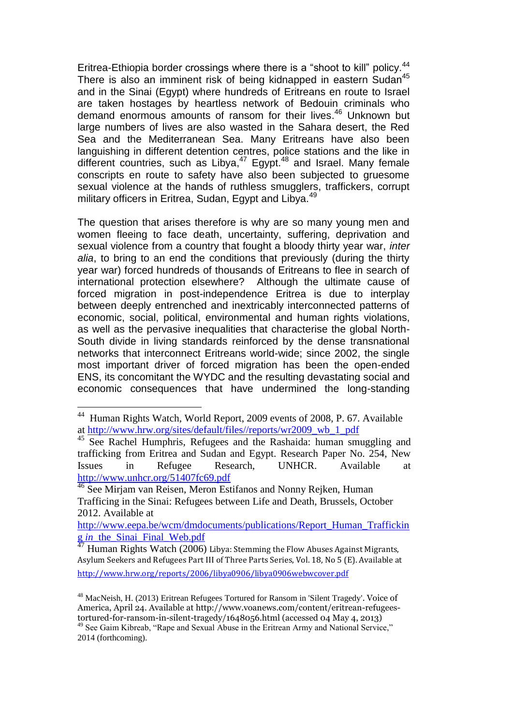Eritrea-Ethiopia border crossings where there is a "shoot to kill" policy.<sup>44</sup> There is also an imminent risk of being kidnapped in eastern Sudan<sup>45</sup> and in the Sinai (Egypt) where hundreds of Eritreans en route to Israel are taken hostages by heartless network of Bedouin criminals who demand enormous amounts of ransom for their lives. <sup>46</sup> Unknown but large numbers of lives are also wasted in the Sahara desert, the Red Sea and the Mediterranean Sea. Many Eritreans have also been languishing in different detention centres, police stations and the like in different countries, such as Libya,<sup>47</sup> Egypt.<sup>48</sup> and Israel. Many female conscripts en route to safety have also been subjected to gruesome sexual violence at the hands of ruthless smugglers, traffickers, corrupt military officers in Eritrea, Sudan, Egypt and Libya.<sup>49</sup>

The question that arises therefore is why are so many young men and women fleeing to face death, uncertainty, suffering, deprivation and sexual violence from a country that fought a bloody thirty year war, *inter alia*, to bring to an end the conditions that previously (during the thirty year war) forced hundreds of thousands of Eritreans to flee in search of international protection elsewhere? Although the ultimate cause of forced migration in post-independence Eritrea is due to interplay between deeply entrenched and inextricably interconnected patterns of economic, social, political, environmental and human rights violations, as well as the pervasive inequalities that characterise the global North-South divide in living standards reinforced by the dense transnational networks that interconnect Eritreans world-wide; since 2002, the single most important driver of forced migration has been the open-ended ENS, its concomitant the WYDC and the resulting devastating social and economic consequences that have undermined the long-standing

1

http://www.hrw.org/reports/2006/libya0906/libya0906webwcover.pdf

<sup>&</sup>lt;sup>44</sup> Human Rights Watch, World Report, 2009 events of 2008, P. 67. Available at [http://www.hrw.org/sites/default/files//reports/wr2009\\_wb\\_1\\_pdf](http://www.hrw.org/sites/default/files/reports/wr2009_wb_1_pdf)

<sup>&</sup>lt;sup>45</sup> See Rachel Humphris, Refugees and the Rashaida: human smuggling and trafficking from Eritrea and Sudan and Egypt. Research Paper No. 254, New Issues in Refugee Research, UNHCR. Available at <http://www.unhcr.org/51407fc69.pdf>

<sup>&</sup>lt;sup>46</sup> See Mirjam van Reisen, Meron Estifanos and Nonny Rejken, Human Trafficing in the Sinai: Refugees between Life and Death, Brussels, October 2012. Available at

[http://www.eepa.be/wcm/dmdocuments/publications/Report\\_Human\\_Traffickin](http://www.eepa.be/wcm/dmdocuments/publications/Report_Human_Trafficking%20in_the_Sinai_Final_Web.pdf) g *in*[\\_the\\_Sinai\\_Final\\_Web.pdf](http://www.eepa.be/wcm/dmdocuments/publications/Report_Human_Trafficking%20in_the_Sinai_Final_Web.pdf)

 $^{47}$  Human Rights Watch (2006) Libya: Stemming the Flow Abuses Against Migrants, Asylum Seekers and Refugees Part III of Three Parts Series, Vol. 18, No 5 (E). Available at

<sup>&</sup>lt;sup>48</sup> MacNeish, H. (2013) Eritrean Refugees Tortured for Ransom in 'Silent Tragedy'. Voice of America, April 24. Available at http://www.voanews.com/content/eritrean-refugeestortured-for-ransom-in-silent-tragedy/1648056.html (accessed 04 May 4, 2013) <sup>49</sup> See Gaim Kibreab, "Rape and Sexual Abuse in the Eritrean Army and National Service," 2014 (forthcoming).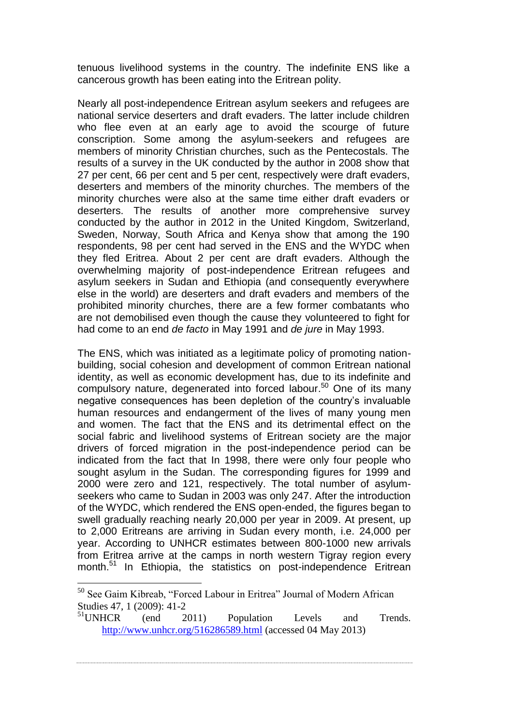tenuous livelihood systems in the country. The indefinite ENS like a cancerous growth has been eating into the Eritrean polity.

Nearly all post-independence Eritrean asylum seekers and refugees are national service deserters and draft evaders. The latter include children who flee even at an early age to avoid the scourge of future conscription. Some among the asylum-seekers and refugees are members of minority Christian churches, such as the Pentecostals. The results of a survey in the UK conducted by the author in 2008 show that 27 per cent, 66 per cent and 5 per cent, respectively were draft evaders, deserters and members of the minority churches. The members of the minority churches were also at the same time either draft evaders or deserters. The results of another more comprehensive survey conducted by the author in 2012 in the United Kingdom, Switzerland, Sweden, Norway, South Africa and Kenya show that among the 190 respondents, 98 per cent had served in the ENS and the WYDC when they fled Eritrea. About 2 per cent are draft evaders. Although the overwhelming majority of post-independence Eritrean refugees and asylum seekers in Sudan and Ethiopia (and consequently everywhere else in the world) are deserters and draft evaders and members of the prohibited minority churches, there are a few former combatants who are not demobilised even though the cause they volunteered to fight for had come to an end *de facto* in May 1991 and *de jure* in May 1993.

The ENS, which was initiated as a legitimate policy of promoting nationbuilding, social cohesion and development of common Eritrean national identity, as well as economic development has, due to its indefinite and compulsory nature, degenerated into forced labour.<sup>50</sup> One of its many negative consequences has been depletion of the country's invaluable human resources and endangerment of the lives of many young men and women. The fact that the ENS and its detrimental effect on the social fabric and livelihood systems of Eritrean society are the major drivers of forced migration in the post-independence period can be indicated from the fact that In 1998, there were only four people who sought asylum in the Sudan. The corresponding figures for 1999 and 2000 were zero and 121, respectively. The total number of asylumseekers who came to Sudan in 2003 was only 247. After the introduction of the WYDC, which rendered the ENS open-ended, the figures began to swell gradually reaching nearly 20,000 per year in 2009. At present, up to 2,000 Eritreans are arriving in Sudan every month, i.e. 24,000 per year. According to UNHCR estimates between 800-1000 new arrivals from Eritrea arrive at the camps in north western Tigray region every month.<sup>51</sup> In Ethiopia, the statistics on post-independence Eritrean

<sup>&</sup>lt;sup>50</sup> See Gaim Kibreab, "Forced Labour in Eritrea" Journal of Modern African Studies 47, 1 (2009): 41-2

<sup>&</sup>lt;sup>51</sup>UNHCR (end 2011) Population Levels and Trends. <http://www.unhcr.org/516286589.html> (accessed 04 May 2013)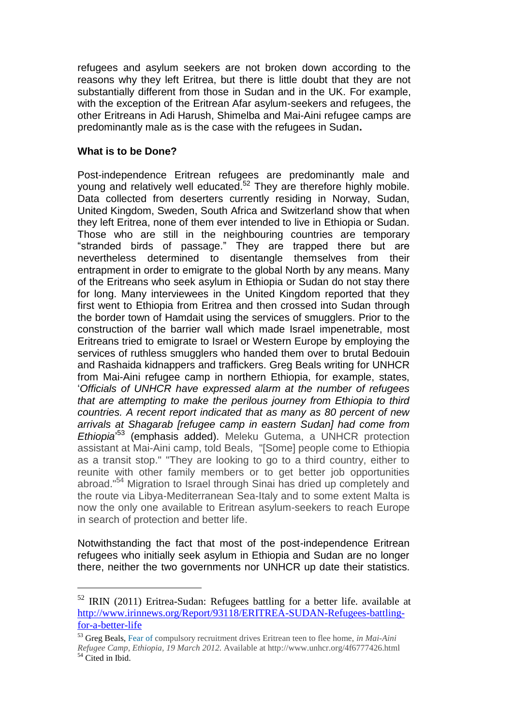refugees and asylum seekers are not broken down according to the reasons why they left Eritrea, but there is little doubt that they are not substantially different from those in Sudan and in the UK. For example, with the exception of the Eritrean Afar asylum-seekers and refugees, the other Eritreans in Adi Harush, Shimelba and Mai-Aini refugee camps are predominantly male as is the case with the refugees in Sudan**.** 

#### **What is to be Done?**

1

Post-independence Eritrean refugees are predominantly male and young and relatively well educated.<sup>52</sup> They are therefore highly mobile. Data collected from deserters currently residing in Norway, Sudan, United Kingdom, Sweden, South Africa and Switzerland show that when they left Eritrea, none of them ever intended to live in Ethiopia or Sudan. Those who are still in the neighbouring countries are temporary "stranded birds of passage." They are trapped there but are nevertheless determined to disentangle themselves from their entrapment in order to emigrate to the global North by any means. Many of the Eritreans who seek asylum in Ethiopia or Sudan do not stay there for long. Many interviewees in the United Kingdom reported that they first went to Ethiopia from Eritrea and then crossed into Sudan through the border town of Hamdait using the services of smugglers. Prior to the construction of the barrier wall which made Israel impenetrable, most Eritreans tried to emigrate to Israel or Western Europe by employing the services of ruthless smugglers who handed them over to brutal Bedouin and Rashaida kidnappers and traffickers. Greg Beals writing for UNHCR from Mai-Aini refugee camp in northern Ethiopia, for example, states, '*Officials of UNHCR have expressed alarm at the number of refugees that are attempting to make the perilous journey from Ethiopia to third countries. A recent report indicated that as many as 80 percent of new arrivals at Shagarab [refugee camp in eastern Sudan] had come from Ethiopia*' <sup>53</sup> (emphasis added). Meleku Gutema, a UNHCR protection assistant at Mai-Aini camp, told Beals, "[Some] people come to Ethiopia as a transit stop." "They are looking to go to a third country, either to reunite with other family members or to get better job opportunities abroad."<sup>54</sup> Migration to Israel through Sinai has dried up completely and the route via Libya-Mediterranean Sea-Italy and to some extent Malta is now the only one available to Eritrean asylum-seekers to reach Europe in search of protection and better life.

Notwithstanding the fact that most of the post-independence Eritrean refugees who initially seek asylum in Ethiopia and Sudan are no longer there, neither the two governments nor UNHCR up date their statistics.

<sup>52</sup> IRIN (2011) Eritrea-Sudan: Refugees battling for a better life. available at [http://www.irinnews.org/Report/93118/ERITREA-SUDAN-Refugees-battling](http://www.irinnews.org/Report/93118/ERITREA-SUDAN-Refugees-battling-for-a-better-life)[for-a-better-life](http://www.irinnews.org/Report/93118/ERITREA-SUDAN-Refugees-battling-for-a-better-life)

<sup>53</sup> Greg Beals, Fear of compulsory recruitment drives Eritrean teen to flee home, *in Mai-Aini Refugee Camp, Ethiopia, 19 March 2012.* Available at http://www.unhcr.org/4f6777426.html  $54$  Cited in Ibid.